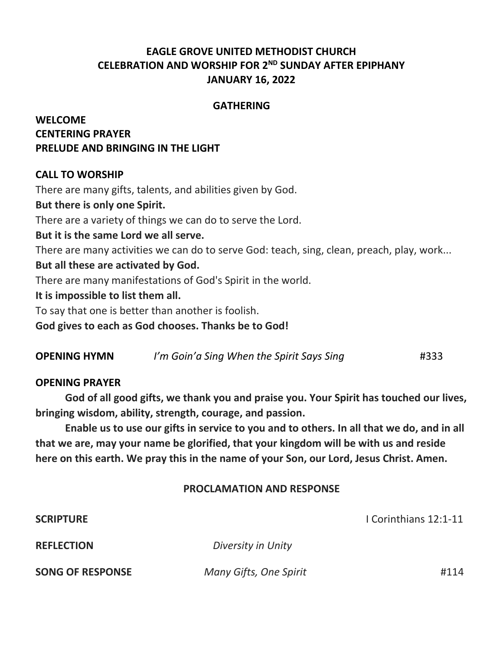# **EAGLE GROVE UNITED METHODIST CHURCH CELEBRATION AND WORSHIP FOR 2 ND SUNDAY AFTER EPIPHANY JANUARY 16, 2022**

#### **GATHERING**

# **WELCOME CENTERING PRAYER PRELUDE AND BRINGING IN THE LIGHT**

### **CALL TO WORSHIP**

There are many gifts, talents, and abilities given by God.

#### **But there is only one Spirit.**

There are a variety of things we can do to serve the Lord.

### **But it is the same Lord we all serve.**

There are many activities we can do to serve God: teach, sing, clean, preach, play, work...

#### **But all these are activated by God.**

There are many manifestations of God's Spirit in the world.

#### **It is impossible to list them all.**

To say that one is better than another is foolish.

**God gives to each as God chooses. Thanks be to God!**

| <b>OPENING HYMN</b> | I'm Goin'a Sing When the Spirit Says Sing | #333 |
|---------------------|-------------------------------------------|------|
|---------------------|-------------------------------------------|------|

#### **OPENING PRAYER**

**God of all good gifts, we thank you and praise you. Your Spirit has touched our lives, bringing wisdom, ability, strength, courage, and passion.**

**Enable us to use our gifts in service to you and to others. In all that we do, and in all that we are, may your name be glorified, that your kingdom will be with us and reside here on this earth. We pray this in the name of your Son, our Lord, Jesus Christ. Amen.**

#### **PROCLAMATION AND RESPONSE**

| <b>SCRIPTURE</b>        |                        | I Corinthians 12:1-11 |
|-------------------------|------------------------|-----------------------|
| <b>REFLECTION</b>       | Diversity in Unity     |                       |
| <b>SONG OF RESPONSE</b> | Many Gifts, One Spirit | #114                  |